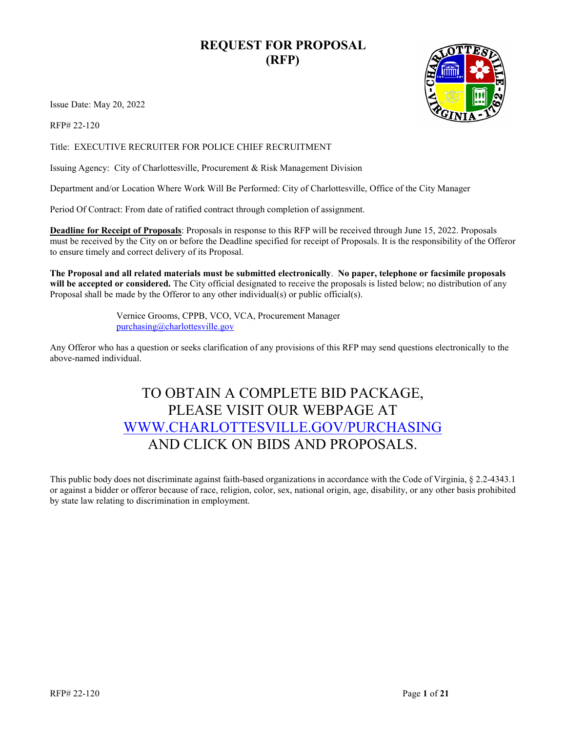### **REQUEST FOR PROPOSAL (RFP)**

Issue Date: May 20, 2022

RFP# 22-120

Title: EXECUTIVE RECRUITER FOR POLICE CHIEF RECRUITMENT

Issuing Agency: City of Charlottesville, Procurement & Risk Management Division

Department and/or Location Where Work Will Be Performed: City of Charlottesville, Office of the City Manager

Period Of Contract: From date of ratified contract through completion of assignment.

**Deadline for Receipt of Proposals**: Proposals in response to this RFP will be received through June 15, 2022. Proposals must be received by the City on or before the Deadline specified for receipt of Proposals. It is the responsibility of the Offeror to ensure timely and correct delivery of its Proposal.

**The Proposal and all related materials must be submitted electronically**. **No paper, telephone or facsimile proposals will be accepted or considered.** The City official designated to receive the proposals is listed below; no distribution of any Proposal shall be made by the Offeror to any other individual(s) or public official(s).

> Vernice Grooms, CPPB, VCO, VCA, Procurement Manager [purchasing@charlottesville.gov](mailto:purchasing@charlottesville.gov)

Any Offeror who has a question or seeks clarification of any provisions of this RFP may send questions electronically to the above-named individual.

# TO OBTAIN A COMPLETE BID PACKAGE, PLEASE VISIT OUR WEBPAGE AT [WWW.CHARLOTTESVILLE.GOV/PURCHASING](http://www.charlottesville.gov/PURCHASING) AND CLICK ON BIDS AND PROPOSALS.

This public body does not discriminate against faith-based organizations in accordance with the Code of Virginia, § 2.2-4343.1 or against a bidder or offeror because of race, religion, color, sex, national origin, age, disability, or any other basis prohibited by state law relating to discrimination in employment.

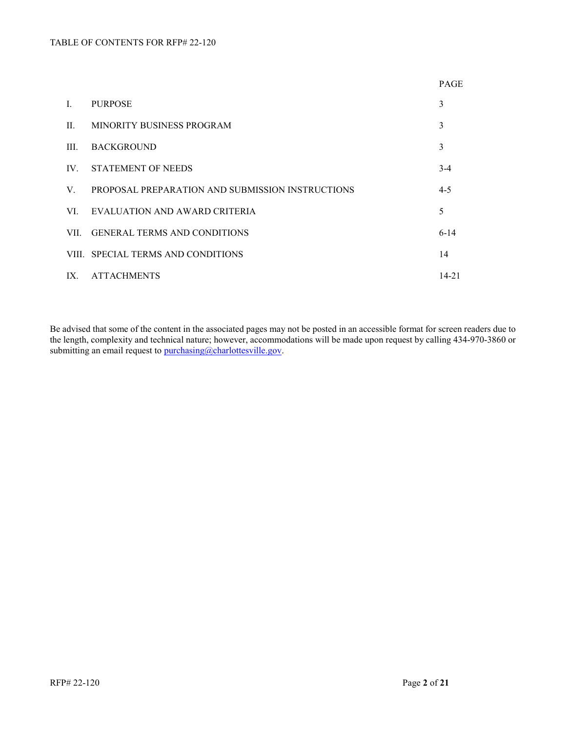|                |                                                  | <b>PAGE</b> |
|----------------|--------------------------------------------------|-------------|
| $\mathbf{I}$ . | <b>PURPOSE</b>                                   | 3           |
| $\Pi$ .        | MINORITY BUSINESS PROGRAM                        | 3           |
| III.           | <b>BACKGROUND</b>                                | 3           |
|                | IV. STATEMENT OF NEEDS                           | $3-4$       |
| $V_{\cdot}$    | PROPOSAL PREPARATION AND SUBMISSION INSTRUCTIONS | $4 - 5$     |
| VI.            | EVALUATION AND AWARD CRITERIA                    | 5           |
|                | VII. GENERAL TERMS AND CONDITIONS                | $6-14$      |
|                | VIII. SPECIAL TERMS AND CONDITIONS               | 14          |
| IX.            | ATTACHMENTS                                      | 14-21       |

Be advised that some of the content in the associated pages may not be posted in an accessible format for screen readers due to the length, complexity and technical nature; however, accommodations will be made upon request by calling 434-970-3860 or submitting an email request to [purchasing@charlottesville.gov.](mailto:purchasing@charlottesville.gov)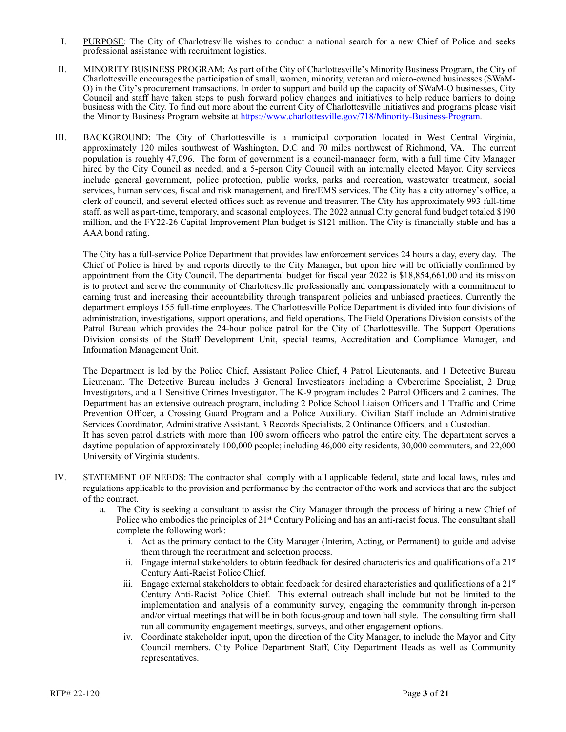- I. PURPOSE: The City of Charlottesville wishes to conduct a national search for a new Chief of Police and seeks professional assistance with recruitment logistics.
- II. MINORITY BUSINESS PROGRAM: As part of the City of Charlottesville's Minority Business Program, the City of Charlottesville encourages the participation of small, women, minority, veteran and micro-owned businesses (SWaM-O) in the City's procurement transactions. In order to support and build up the capacity of SWaM-O businesses, City Council and staff have taken steps to push forward policy changes and initiatives to help reduce barriers to doing business with the City. To find out more about the current City of Charlottesville initiatives and programs please visit the Minority Business Program website at [https://www.charlottesville.gov/718/Minority-Business-Program.](https://www.charlottesville.gov/718/Minority-Business-Program)
- III. BACKGROUND: The City of Charlottesville is a municipal corporation located in West Central Virginia, approximately 120 miles southwest of Washington, D.C and 70 miles northwest of Richmond, VA. The current population is roughly 47,096. The form of government is a council-manager form, with a full time City Manager hired by the City Council as needed, and a 5-person City Council with an internally elected Mayor. City services include general government, police protection, public works, parks and recreation, wastewater treatment, social services, human services, fiscal and risk management, and fire/EMS services. The City has a city attorney's office, a clerk of council, and several elected offices such as revenue and treasurer. The City has approximately 993 full-time staff, as well as part-time, temporary, and seasonal employees. The 2022 annual City general fund budget totaled \$190 million, and the FY22-26 Capital Improvement Plan budget is \$121 million. The City is financially stable and has a AAA bond rating.

The City has a full-service Police Department that provides law enforcement services 24 hours a day, every day. The Chief of Police is hired by and reports directly to the City Manager, but upon hire will be officially confirmed by appointment from the City Council. The departmental budget for fiscal year 2022 is \$18,854,661.00 and its mission is to protect and serve the community of Charlottesville professionally and compassionately with a commitment to earning trust and increasing their accountability through transparent policies and unbiased practices. Currently the department employs 155 full-time employees. The Charlottesville Police Department is divided into four divisions of administration, investigations, support operations, and field operations. The Field Operations Division consists of the Patrol Bureau which provides the 24-hour police patrol for the City of Charlottesville. The Support Operations Division consists of the Staff Development Unit, special teams, Accreditation and Compliance Manager, and Information Management Unit.

The Department is led by the Police Chief, Assistant Police Chief, 4 Patrol Lieutenants, and 1 Detective Bureau Lieutenant. The Detective Bureau includes 3 General Investigators including a Cybercrime Specialist, 2 Drug Investigators, and a 1 Sensitive Crimes Investigator. The K-9 program includes 2 Patrol Officers and 2 canines. The Department has an extensive outreach program, including 2 Police School Liaison Officers and 1 Traffic and Crime Prevention Officer, a Crossing Guard Program and a Police Auxiliary. Civilian Staff include an Administrative Services Coordinator, Administrative Assistant, 3 Records Specialists, 2 Ordinance Officers, and a Custodian. It has seven patrol districts with more than 100 sworn officers who patrol the entire city. The department serves a daytime population of approximately 100,000 people; including 46,000 city residents, 30,000 commuters, and 22,000 University of Virginia students.

- IV. STATEMENT OF NEEDS: The contractor shall comply with all applicable federal, state and local laws, rules and regulations applicable to the provision and performance by the contractor of the work and services that are the subject of the contract.
	- a. The City is seeking a consultant to assist the City Manager through the process of hiring a new Chief of Police who embodies the principles of  $21<sup>st</sup>$  Century Policing and has an anti-racist focus. The consultant shall complete the following work:
		- i. Act as the primary contact to the City Manager (Interim, Acting, or Permanent) to guide and advise them through the recruitment and selection process.
		- ii. Engage internal stakeholders to obtain feedback for desired characteristics and qualifications of a  $21<sup>st</sup>$ Century Anti-Racist Police Chief.
		- iii. Engage external stakeholders to obtain feedback for desired characteristics and qualifications of a  $21<sup>st</sup>$ Century Anti-Racist Police Chief. This external outreach shall include but not be limited to the implementation and analysis of a community survey, engaging the community through in-person and/or virtual meetings that will be in both focus-group and town hall style. The consulting firm shall run all community engagement meetings, surveys, and other engagement options.
		- Coordinate stakeholder input, upon the direction of the City Manager, to include the Mayor and City Council members, City Police Department Staff, City Department Heads as well as Community representatives.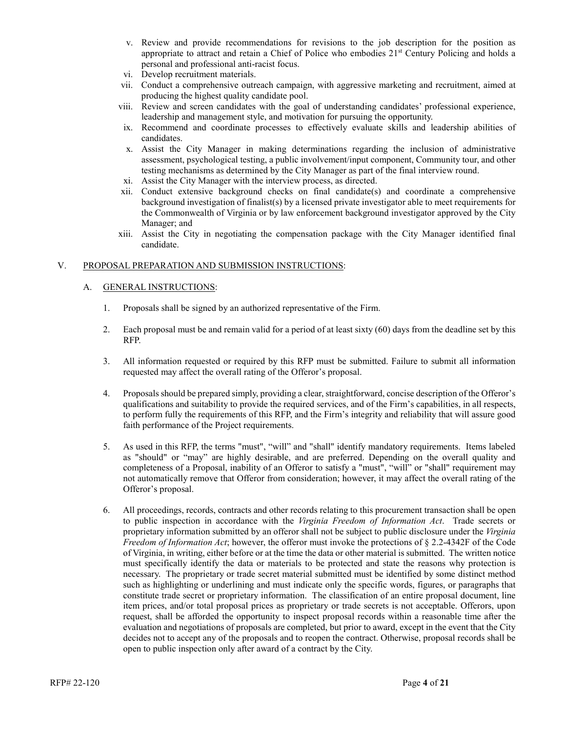- v. Review and provide recommendations for revisions to the job description for the position as appropriate to attract and retain a Chief of Police who embodies  $21<sup>st</sup>$  Century Policing and holds a personal and professional anti-racist focus.
- vi. Develop recruitment materials.
- vii. Conduct a comprehensive outreach campaign, with aggressive marketing and recruitment, aimed at producing the highest quality candidate pool.
- viii. Review and screen candidates with the goal of understanding candidates' professional experience, leadership and management style, and motivation for pursuing the opportunity.
- ix. Recommend and coordinate processes to effectively evaluate skills and leadership abilities of candidates.
- x. Assist the City Manager in making determinations regarding the inclusion of administrative assessment, psychological testing, a public involvement/input component, Community tour, and other testing mechanisms as determined by the City Manager as part of the final interview round.
- xi. Assist the City Manager with the interview process, as directed.
- xii. Conduct extensive background checks on final candidate(s) and coordinate a comprehensive background investigation of finalist(s) by a licensed private investigator able to meet requirements for the Commonwealth of Virginia or by law enforcement background investigator approved by the City Manager; and
- xiii. Assist the City in negotiating the compensation package with the City Manager identified final candidate.

#### V. PROPOSAL PREPARATION AND SUBMISSION INSTRUCTIONS:

#### A. GENERAL INSTRUCTIONS:

- 1. Proposals shall be signed by an authorized representative of the Firm.
- 2. Each proposal must be and remain valid for a period of at least sixty (60) days from the deadline set by this RFP.
- 3. All information requested or required by this RFP must be submitted. Failure to submit all information requested may affect the overall rating of the Offeror's proposal.
- 4. Proposals should be prepared simply, providing a clear, straightforward, concise description of the Offeror's qualifications and suitability to provide the required services, and of the Firm's capabilities, in all respects, to perform fully the requirements of this RFP, and the Firm's integrity and reliability that will assure good faith performance of the Project requirements.
- 5. As used in this RFP, the terms "must", "will" and "shall" identify mandatory requirements. Items labeled as "should" or "may" are highly desirable, and are preferred. Depending on the overall quality and completeness of a Proposal, inability of an Offeror to satisfy a "must", "will" or "shall" requirement may not automatically remove that Offeror from consideration; however, it may affect the overall rating of the Offeror's proposal.
- 6. All proceedings, records, contracts and other records relating to this procurement transaction shall be open to public inspection in accordance with the *Virginia Freedom of Information Act*. Trade secrets or proprietary information submitted by an offeror shall not be subject to public disclosure under the *Virginia Freedom of Information Act*; however, the offeror must invoke the protections of § 2.2-4342F of the Code of Virginia, in writing, either before or at the time the data or other material is submitted. The written notice must specifically identify the data or materials to be protected and state the reasons why protection is necessary. The proprietary or trade secret material submitted must be identified by some distinct method such as highlighting or underlining and must indicate only the specific words, figures, or paragraphs that constitute trade secret or proprietary information. The classification of an entire proposal document, line item prices, and/or total proposal prices as proprietary or trade secrets is not acceptable. Offerors, upon request, shall be afforded the opportunity to inspect proposal records within a reasonable time after the evaluation and negotiations of proposals are completed, but prior to award, except in the event that the City decides not to accept any of the proposals and to reopen the contract. Otherwise, proposal records shall be open to public inspection only after award of a contract by the City.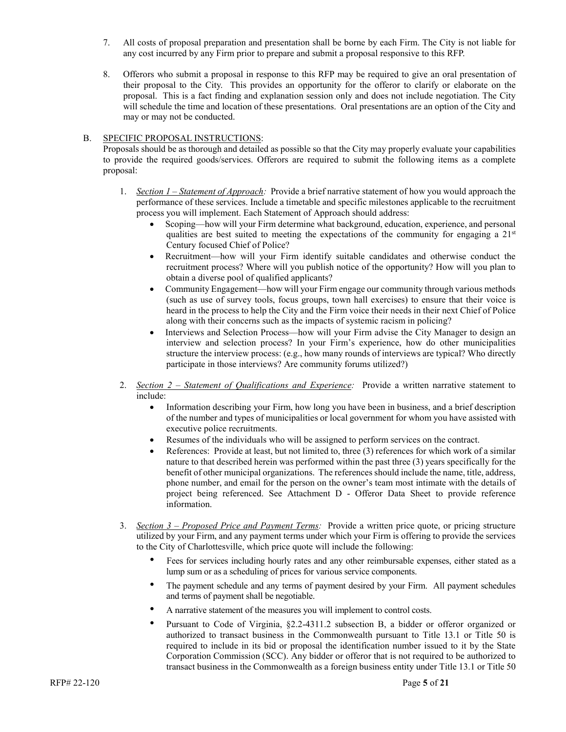- 7. All costs of proposal preparation and presentation shall be borne by each Firm. The City is not liable for any cost incurred by any Firm prior to prepare and submit a proposal responsive to this RFP.
- 8. Offerors who submit a proposal in response to this RFP may be required to give an oral presentation of their proposal to the City. This provides an opportunity for the offeror to clarify or elaborate on the proposal. This is a fact finding and explanation session only and does not include negotiation. The City will schedule the time and location of these presentations. Oral presentations are an option of the City and may or may not be conducted.

#### B. SPECIFIC PROPOSAL INSTRUCTIONS:

Proposals should be as thorough and detailed as possible so that the City may properly evaluate your capabilities to provide the required goods/services. Offerors are required to submit the following items as a complete proposal:

- 1. *Section 1 – Statement of Approach:* Provide a brief narrative statement of how you would approach the performance of these services. Include a timetable and specific milestones applicable to the recruitment process you will implement. Each Statement of Approach should address:
	- Scoping—how will your Firm determine what background, education, experience, and personal qualities are best suited to meeting the expectations of the community for engaging a  $21<sup>st</sup>$ Century focused Chief of Police?
	- Recruitment—how will your Firm identify suitable candidates and otherwise conduct the recruitment process? Where will you publish notice of the opportunity? How will you plan to obtain a diverse pool of qualified applicants?
	- Community Engagement—how will your Firm engage our community through various methods (such as use of survey tools, focus groups, town hall exercises) to ensure that their voice is heard in the process to help the City and the Firm voice their needs in their next Chief of Police along with their concerns such as the impacts of systemic racism in policing?
	- Interviews and Selection Process—how will your Firm advise the City Manager to design an interview and selection process? In your Firm's experience, how do other municipalities structure the interview process: (e.g., how many rounds of interviews are typical? Who directly participate in those interviews? Are community forums utilized?)
- 2. *Section 2 – Statement of Qualifications and Experience:* Provide a written narrative statement to include:
	- Information describing your Firm, how long you have been in business, and a brief description of the number and types of municipalities or local government for whom you have assisted with executive police recruitments.
	- Resumes of the individuals who will be assigned to perform services on the contract.
	- References: Provide at least, but not limited to, three (3) references for which work of a similar nature to that described herein was performed within the past three (3) years specifically for the benefit of other municipal organizations. The references should include the name, title, address, phone number, and email for the person on the owner's team most intimate with the details of project being referenced. See Attachment D - Offeror Data Sheet to provide reference information.
- 3. *Section 3 – Proposed Price and Payment Terms:* Provide a written price quote, or pricing structure utilized by your Firm, and any payment terms under which your Firm is offering to provide the services to the City of Charlottesville, which price quote will include the following:
	- Fees for services including hourly rates and any other reimbursable expenses, either stated as a lump sum or as a scheduling of prices for various service components.
	- The payment schedule and any terms of payment desired by your Firm. All payment schedules and terms of payment shall be negotiable.
	- A narrative statement of the measures you will implement to control costs.
	- Pursuant to Code of Virginia, §2.2-4311.2 subsection B, a bidder or offeror organized or authorized to transact business in the Commonwealth pursuant to Title 13.1 or Title 50 is required to include in its bid or proposal the identification number issued to it by the State Corporation Commission (SCC). Any bidder or offeror that is not required to be authorized to transact business in the Commonwealth as a foreign business entity under Title 13.1 or Title 50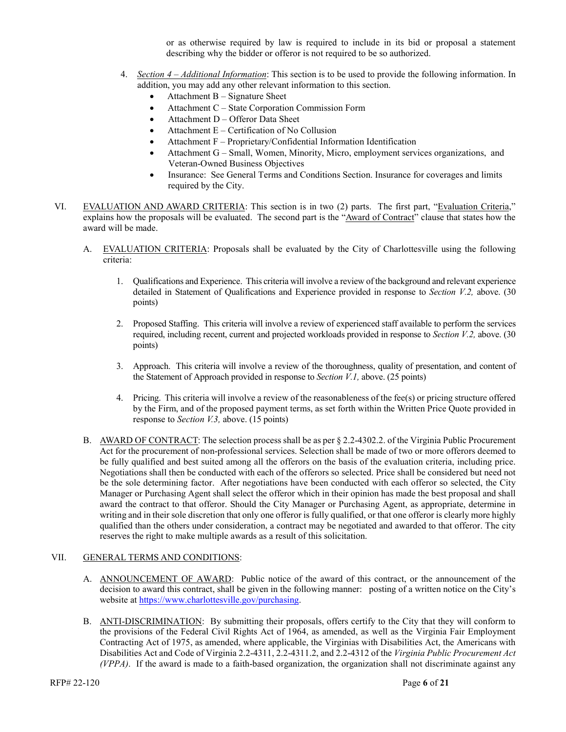or as otherwise required by law is required to include in its bid or proposal a statement describing why the bidder or offeror is not required to be so authorized.

- 4. *Section 4 – Additional Information*: This section is to be used to provide the following information. In addition, you may add any other relevant information to this section.
	- Attachment  $B -$  Signature Sheet
	- Attachment C State Corporation Commission Form
	- Attachment D Offeror Data Sheet
	- Attachment E Certification of No Collusion
	- Attachment F Proprietary/Confidential Information Identification
	- Attachment G Small, Women, Minority, Micro, employment services organizations, and Veteran-Owned Business Objectives
	- Insurance: See General Terms and Conditions Section. Insurance for coverages and limits required by the City.
- VI. EVALUATION AND AWARD CRITERIA: This section is in two (2) parts. The first part, "Evaluation Criteria," explains how the proposals will be evaluated. The second part is the "Award of Contract" clause that states how the award will be made.
	- A. EVALUATION CRITERIA: Proposals shall be evaluated by the City of Charlottesville using the following criteria:
		- 1. Qualifications and Experience. This criteria will involve a review of the background and relevant experience detailed in Statement of Qualifications and Experience provided in response to *Section V.2,* above. (30 points)
		- 2. Proposed Staffing. This criteria will involve a review of experienced staff available to perform the services required, including recent, current and projected workloads provided in response to *Section V.2,* above. (30 points)
		- 3. Approach. This criteria will involve a review of the thoroughness, quality of presentation, and content of the Statement of Approach provided in response to *Section V.1,* above. (25 points)
		- 4. Pricing. This criteria will involve a review of the reasonableness of the fee(s) or pricing structure offered by the Firm, and of the proposed payment terms, as set forth within the Written Price Quote provided in response to *Section V.3,* above. (15 points)
	- B. AWARD OF CONTRACT: The selection process shall be as per  $\S$  2.2-4302.2. of the Virginia Public Procurement Act for the procurement of non-professional services. Selection shall be made of two or more offerors deemed to be fully qualified and best suited among all the offerors on the basis of the evaluation criteria, including price. Negotiations shall then be conducted with each of the offerors so selected. Price shall be considered but need not be the sole determining factor. After negotiations have been conducted with each offeror so selected, the City Manager or Purchasing Agent shall select the offeror which in their opinion has made the best proposal and shall award the contract to that offeror. Should the City Manager or Purchasing Agent, as appropriate, determine in writing and in their sole discretion that only one offeror is fully qualified, or that one offeror is clearly more highly qualified than the others under consideration, a contract may be negotiated and awarded to that offeror. The city reserves the right to make multiple awards as a result of this solicitation.

#### VII. GENERAL TERMS AND CONDITIONS:

- A. ANNOUNCEMENT OF AWARD: Public notice of the award of this contract, or the announcement of the decision to award this contract, shall be given in the following manner: posting of a written notice on the City's website at [https://www.charlottesville.gov/purchasing.](https://www.charlottesville.gov/purchasing)
- B. ANTI-DISCRIMINATION: By submitting their proposals, offers certify to the City that they will conform to the provisions of the Federal Civil Rights Act of 1964, as amended, as well as the Virginia Fair Employment Contracting Act of 1975, as amended, where applicable, the Virginias with Disabilities Act, the Americans with Disabilities Act and Code of Virginia 2.2-4311, 2.2-4311.2, and 2.2-4312 of the *Virginia Public Procurement Act (VPPA)*. If the award is made to a faith-based organization, the organization shall not discriminate against any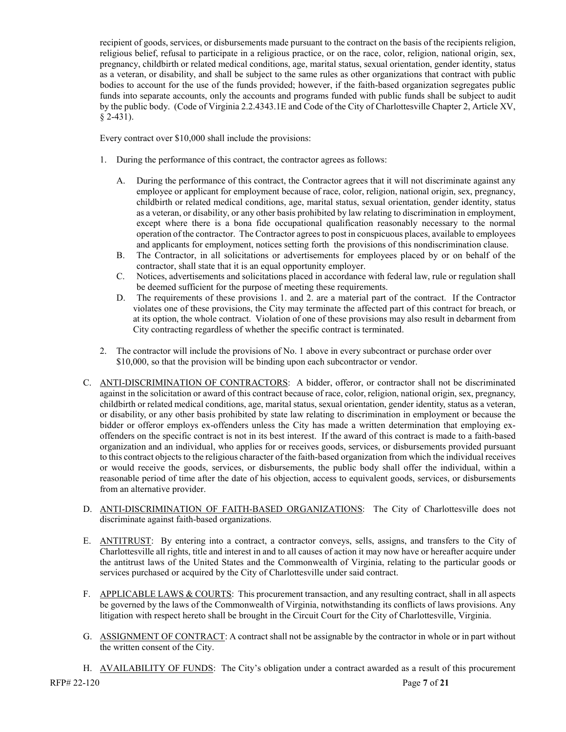recipient of goods, services, or disbursements made pursuant to the contract on the basis of the recipients religion, religious belief, refusal to participate in a religious practice, or on the race, color, religion, national origin, sex, pregnancy, childbirth or related medical conditions, age, marital status, sexual orientation, gender identity, status as a veteran, or disability, and shall be subject to the same rules as other organizations that contract with public bodies to account for the use of the funds provided; however, if the faith-based organization segregates public funds into separate accounts, only the accounts and programs funded with public funds shall be subject to audit by the public body. (Code of Virginia 2.2.4343.1E and Code of the City of Charlottesville Chapter 2, Article XV, § 2-431).

Every contract over \$10,000 shall include the provisions:

- 1. During the performance of this contract, the contractor agrees as follows:
	- A. During the performance of this contract, the Contractor agrees that it will not discriminate against any employee or applicant for employment because of race, color, religion, national origin, sex, pregnancy, childbirth or related medical conditions, age, marital status, sexual orientation, gender identity, status as a veteran, or disability, or any other basis prohibited by law relating to discrimination in employment, except where there is a bona fide occupational qualification reasonably necessary to the normal operation of the contractor. The Contractor agrees to post in conspicuous places, available to employees and applicants for employment, notices setting forth the provisions of this nondiscrimination clause.
	- B. The Contractor, in all solicitations or advertisements for employees placed by or on behalf of the contractor, shall state that it is an equal opportunity employer.
	- C. Notices, advertisements and solicitations placed in accordance with federal law, rule or regulation shall be deemed sufficient for the purpose of meeting these requirements.
	- D. The requirements of these provisions 1. and 2. are a material part of the contract. If the Contractor violates one of these provisions, the City may terminate the affected part of this contract for breach, or at its option, the whole contract. Violation of one of these provisions may also result in debarment from City contracting regardless of whether the specific contract is terminated.
- 2. The contractor will include the provisions of No. 1 above in every subcontract or purchase order over \$10,000, so that the provision will be binding upon each subcontractor or vendor.
- C. ANTI-DISCRIMINATION OF CONTRACTORS: A bidder, offeror, or contractor shall not be discriminated against in the solicitation or award of this contract because of race, color, religion, national origin, sex, pregnancy, childbirth or related medical conditions, age, marital status, sexual orientation, gender identity, status as a veteran, or disability, or any other basis prohibited by state law relating to discrimination in employment or because the bidder or offeror employs ex-offenders unless the City has made a written determination that employing exoffenders on the specific contract is not in its best interest. If the award of this contract is made to a faith-based organization and an individual, who applies for or receives goods, services, or disbursements provided pursuant to this contract objects to the religious character of the faith-based organization from which the individual receives or would receive the goods, services, or disbursements, the public body shall offer the individual, within a reasonable period of time after the date of his objection, access to equivalent goods, services, or disbursements from an alternative provider.
- D. ANTI-DISCRIMINATION OF FAITH-BASED ORGANIZATIONS: The City of Charlottesville does not discriminate against faith-based organizations.
- E. ANTITRUST: By entering into a contract, a contractor conveys, sells, assigns, and transfers to the City of Charlottesville all rights, title and interest in and to all causes of action it may now have or hereafter acquire under the antitrust laws of the United States and the Commonwealth of Virginia, relating to the particular goods or services purchased or acquired by the City of Charlottesville under said contract.
- F. APPLICABLE LAWS & COURTS: This procurement transaction, and any resulting contract, shall in all aspects be governed by the laws of the Commonwealth of Virginia, notwithstanding its conflicts of laws provisions. Any litigation with respect hereto shall be brought in the Circuit Court for the City of Charlottesville, Virginia.
- G. ASSIGNMENT OF CONTRACT: A contract shall not be assignable by the contractor in whole or in part without the written consent of the City.

RFP# 22-120 **Page 7** of **21** H. AVAILABILITY OF FUNDS: The City's obligation under a contract awarded as a result of this procurement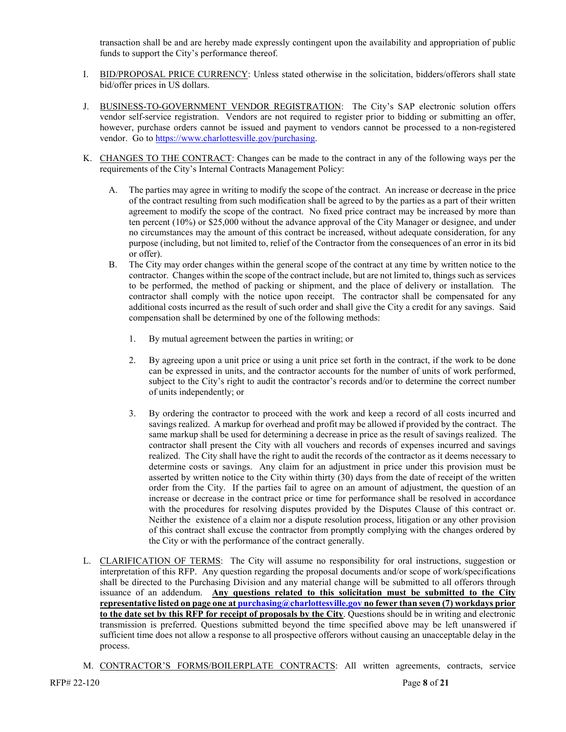transaction shall be and are hereby made expressly contingent upon the availability and appropriation of public funds to support the City's performance thereof.

- I. BID/PROPOSAL PRICE CURRENCY: Unless stated otherwise in the solicitation, bidders/offerors shall state bid/offer prices in US dollars.
- J. BUSINESS-TO-GOVERNMENT VENDOR REGISTRATION: The City's SAP electronic solution offers vendor self-service registration. Vendors are not required to register prior to bidding or submitting an offer, however, purchase orders cannot be issued and payment to vendors cannot be processed to a non-registered vendor. Go to [https://www.charlottesville.gov/purchasing.](https://www.charlottesville.gov/purchasing)
- K. CHANGES TO THE CONTRACT: Changes can be made to the contract in any of the following ways per the requirements of the City's Internal Contracts Management Policy:
	- The parties may agree in writing to modify the scope of the contract. An increase or decrease in the price of the contract resulting from such modification shall be agreed to by the parties as a part of their written agreement to modify the scope of the contract. No fixed price contract may be increased by more than ten percent (10%) or \$25,000 without the advance approval of the City Manager or designee, and under no circumstances may the amount of this contract be increased, without adequate consideration, for any purpose (including, but not limited to, relief of the Contractor from the consequences of an error in its bid or offer).
	- B. The City may order changes within the general scope of the contract at any time by written notice to the contractor. Changes within the scope of the contract include, but are not limited to, things such as services to be performed, the method of packing or shipment, and the place of delivery or installation. The contractor shall comply with the notice upon receipt. The contractor shall be compensated for any additional costs incurred as the result of such order and shall give the City a credit for any savings. Said compensation shall be determined by one of the following methods:
		- 1. By mutual agreement between the parties in writing; or
		- 2. By agreeing upon a unit price or using a unit price set forth in the contract, if the work to be done can be expressed in units, and the contractor accounts for the number of units of work performed, subject to the City's right to audit the contractor's records and/or to determine the correct number of units independently; or
		- 3. By ordering the contractor to proceed with the work and keep a record of all costs incurred and savings realized. A markup for overhead and profit may be allowed if provided by the contract. The same markup shall be used for determining a decrease in price as the result of savings realized. The contractor shall present the City with all vouchers and records of expenses incurred and savings realized. The City shall have the right to audit the records of the contractor as it deems necessary to determine costs or savings. Any claim for an adjustment in price under this provision must be asserted by written notice to the City within thirty (30) days from the date of receipt of the written order from the City. If the parties fail to agree on an amount of adjustment, the question of an increase or decrease in the contract price or time for performance shall be resolved in accordance with the procedures for resolving disputes provided by the Disputes Clause of this contract or. Neither the existence of a claim nor a dispute resolution process, litigation or any other provision of this contract shall excuse the contractor from promptly complying with the changes ordered by the City or with the performance of the contract generally.
- L. CLARIFICATION OF TERMS: The City will assume no responsibility for oral instructions, suggestion or interpretation of this RFP. Any question regarding the proposal documents and/or scope of work/specifications shall be directed to the Purchasing Division and any material change will be submitted to all offerors through issuance of an addendum. **Any questions related to this solicitation must be submitted to the City representative listed on page one a[t purchasing@charlottesville.gov](mailto:purchasing@charlottesville.gov) no fewer than seven (7) workdays prior to the date set by this RFP for receipt of proposals by the City**. Questions should be in writing and electronic transmission is preferred. Questions submitted beyond the time specified above may be left unanswered if sufficient time does not allow a response to all prospective offerors without causing an unacceptable delay in the process.
- M. CONTRACTOR'S FORMS/BOILERPLATE CONTRACTS: All written agreements, contracts, service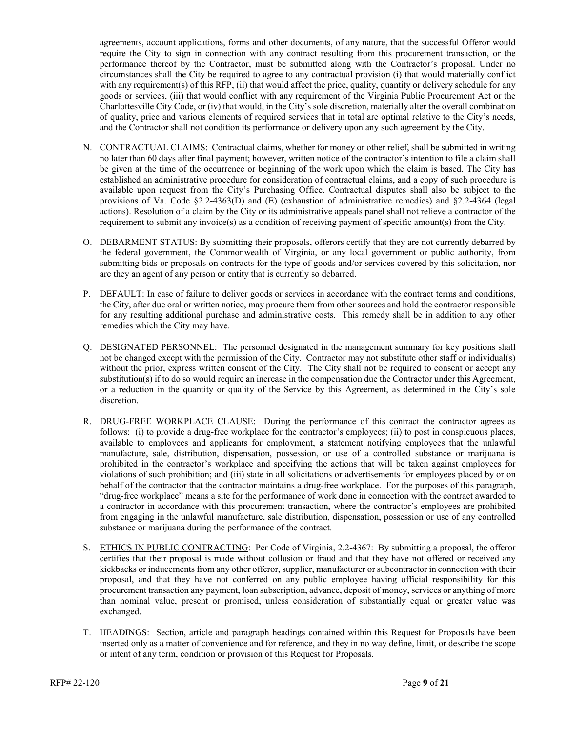agreements, account applications, forms and other documents, of any nature, that the successful Offeror would require the City to sign in connection with any contract resulting from this procurement transaction, or the performance thereof by the Contractor, must be submitted along with the Contractor's proposal. Under no circumstances shall the City be required to agree to any contractual provision (i) that would materially conflict with any requirement(s) of this RFP, (ii) that would affect the price, quality, quantity or delivery schedule for any goods or services, (iii) that would conflict with any requirement of the Virginia Public Procurement Act or the Charlottesville City Code, or (iv) that would, in the City's sole discretion, materially alter the overall combination of quality, price and various elements of required services that in total are optimal relative to the City's needs, and the Contractor shall not condition its performance or delivery upon any such agreement by the City.

- N. CONTRACTUAL CLAIMS: Contractual claims, whether for money or other relief, shall be submitted in writing no later than 60 days after final payment; however, written notice of the contractor's intention to file a claim shall be given at the time of the occurrence or beginning of the work upon which the claim is based. The City has established an administrative procedure for consideration of contractual claims, and a copy of such procedure is available upon request from the City's Purchasing Office. Contractual disputes shall also be subject to the provisions of Va. Code  $\S2.2$ -4363(D) and (E) (exhaustion of administrative remedies) and  $\S2.2$ -4364 (legal actions). Resolution of a claim by the City or its administrative appeals panel shall not relieve a contractor of the requirement to submit any invoice(s) as a condition of receiving payment of specific amount(s) from the City.
- O. DEBARMENT STATUS: By submitting their proposals, offerors certify that they are not currently debarred by the federal government, the Commonwealth of Virginia, or any local government or public authority, from submitting bids or proposals on contracts for the type of goods and/or services covered by this solicitation, nor are they an agent of any person or entity that is currently so debarred.
- P. DEFAULT: In case of failure to deliver goods or services in accordance with the contract terms and conditions, the City, after due oral or written notice, may procure them from other sources and hold the contractor responsible for any resulting additional purchase and administrative costs. This remedy shall be in addition to any other remedies which the City may have.
- Q. DESIGNATED PERSONNEL: The personnel designated in the management summary for key positions shall not be changed except with the permission of the City. Contractor may not substitute other staff or individual(s) without the prior, express written consent of the City. The City shall not be required to consent or accept any substitution(s) if to do so would require an increase in the compensation due the Contractor under this Agreement, or a reduction in the quantity or quality of the Service by this Agreement, as determined in the City's sole discretion.
- R. DRUG-FREE WORKPLACE CLAUSE: During the performance of this contract the contractor agrees as follows: (i) to provide a drug-free workplace for the contractor's employees; (ii) to post in conspicuous places, available to employees and applicants for employment, a statement notifying employees that the unlawful manufacture, sale, distribution, dispensation, possession, or use of a controlled substance or marijuana is prohibited in the contractor's workplace and specifying the actions that will be taken against employees for violations of such prohibition; and (iii) state in all solicitations or advertisements for employees placed by or on behalf of the contractor that the contractor maintains a drug-free workplace. For the purposes of this paragraph, "drug-free workplace" means a site for the performance of work done in connection with the contract awarded to a contractor in accordance with this procurement transaction, where the contractor's employees are prohibited from engaging in the unlawful manufacture, sale distribution, dispensation, possession or use of any controlled substance or marijuana during the performance of the contract.
- S. ETHICS IN PUBLIC CONTRACTING: Per Code of Virginia, 2.2-4367: By submitting a proposal, the offeror certifies that their proposal is made without collusion or fraud and that they have not offered or received any kickbacks or inducements from any other offeror, supplier, manufacturer or subcontractor in connection with their proposal, and that they have not conferred on any public employee having official responsibility for this procurement transaction any payment, loan subscription, advance, deposit of money, services or anything of more than nominal value, present or promised, unless consideration of substantially equal or greater value was exchanged.
- T. HEADINGS: Section, article and paragraph headings contained within this Request for Proposals have been inserted only as a matter of convenience and for reference, and they in no way define, limit, or describe the scope or intent of any term, condition or provision of this Request for Proposals.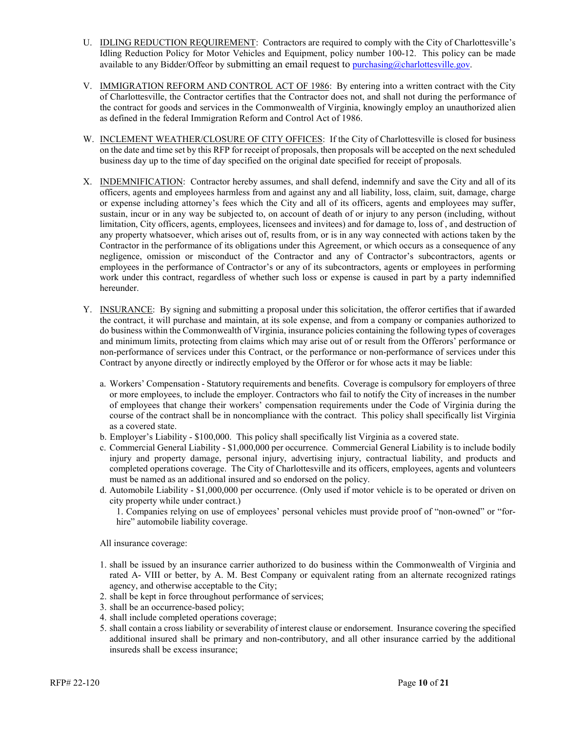- U. IDLING REDUCTION REQUIREMENT: Contractors are required to comply with the City of Charlottesville's Idling Reduction Policy for Motor Vehicles and Equipment, policy number 100-12. This policy can be made available to any Bidder/Offeor by submitting an email request to [purchasing@charlottesville.gov.](mailto:purchasing@charlottesville.gov)
- V. **IMMIGRATION REFORM AND CONTROL ACT OF 1986**: By entering into a written contract with the City of Charlottesville, the Contractor certifies that the Contractor does not, and shall not during the performance of the contract for goods and services in the Commonwealth of Virginia, knowingly employ an unauthorized alien as defined in the federal Immigration Reform and Control Act of 1986.
- W. INCLEMENT WEATHER/CLOSURE OF CITY OFFICES: If the City of Charlottesville is closed for business on the date and time set by this RFP for receipt of proposals, then proposals will be accepted on the next scheduled business day up to the time of day specified on the original date specified for receipt of proposals.
- X. INDEMNIFICATION: Contractor hereby assumes, and shall defend, indemnify and save the City and all of its officers, agents and employees harmless from and against any and all liability, loss, claim, suit, damage, charge or expense including attorney's fees which the City and all of its officers, agents and employees may suffer, sustain, incur or in any way be subjected to, on account of death of or injury to any person (including, without limitation, City officers, agents, employees, licensees and invitees) and for damage to, loss of , and destruction of any property whatsoever, which arises out of, results from, or is in any way connected with actions taken by the Contractor in the performance of its obligations under this Agreement, or which occurs as a consequence of any negligence, omission or misconduct of the Contractor and any of Contractor's subcontractors, agents or employees in the performance of Contractor's or any of its subcontractors, agents or employees in performing work under this contract, regardless of whether such loss or expense is caused in part by a party indemnified hereunder.
- Y. INSURANCE: By signing and submitting a proposal under this solicitation, the offeror certifies that if awarded the contract, it will purchase and maintain, at its sole expense, and from a company or companies authorized to do business within the Commonwealth of Virginia, insurance policies containing the following types of coverages and minimum limits, protecting from claims which may arise out of or result from the Offerors' performance or non-performance of services under this Contract, or the performance or non-performance of services under this Contract by anyone directly or indirectly employed by the Offeror or for whose acts it may be liable:
	- a. Workers' Compensation Statutory requirements and benefits. Coverage is compulsory for employers of three or more employees, to include the employer. Contractors who fail to notify the City of increases in the number of employees that change their workers' compensation requirements under the Code of Virginia during the course of the contract shall be in noncompliance with the contract. This policy shall specifically list Virginia as a covered state.
	- b. Employer's Liability \$100,000. This policy shall specifically list Virginia as a covered state.
	- c. Commercial General Liability \$1,000,000 per occurrence. Commercial General Liability is to include bodily injury and property damage, personal injury, advertising injury, contractual liability, and products and completed operations coverage. The City of Charlottesville and its officers, employees, agents and volunteers must be named as an additional insured and so endorsed on the policy.
	- d. Automobile Liability \$1,000,000 per occurrence. (Only used if motor vehicle is to be operated or driven on city property while under contract.)
		- 1. Companies relying on use of employees' personal vehicles must provide proof of "non-owned" or "forhire" automobile liability coverage.

All insurance coverage:

- 1. shall be issued by an insurance carrier authorized to do business within the Commonwealth of Virginia and rated A- VIII or better, by A. M. Best Company or equivalent rating from an alternate recognized ratings agency, and otherwise acceptable to the City;
- 2. shall be kept in force throughout performance of services;
- 3. shall be an occurrence-based policy;
- 4. shall include completed operations coverage;
- 5. shall contain a cross liability or severability of interest clause or endorsement. Insurance covering the specified additional insured shall be primary and non-contributory, and all other insurance carried by the additional insureds shall be excess insurance;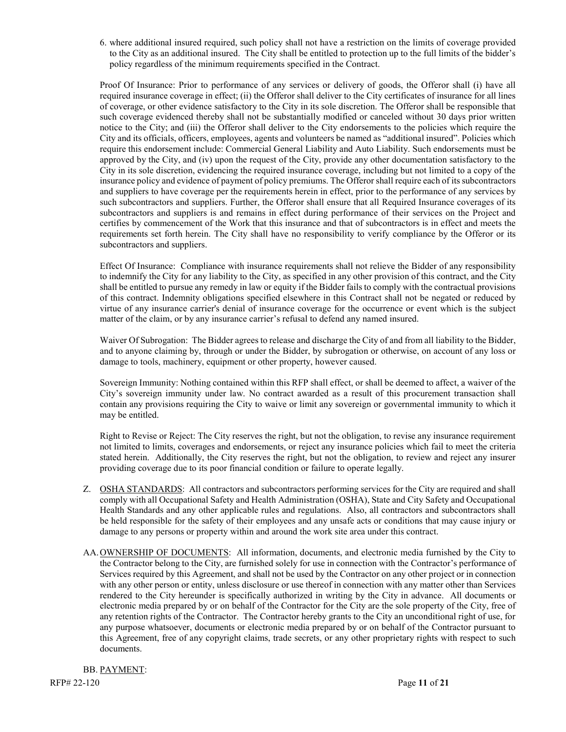6. where additional insured required, such policy shall not have a restriction on the limits of coverage provided to the City as an additional insured. The City shall be entitled to protection up to the full limits of the bidder's policy regardless of the minimum requirements specified in the Contract.

Proof Of Insurance: Prior to performance of any services or delivery of goods, the Offeror shall (i) have all required insurance coverage in effect; (ii) the Offeror shall deliver to the City certificates of insurance for all lines of coverage, or other evidence satisfactory to the City in its sole discretion. The Offeror shall be responsible that such coverage evidenced thereby shall not be substantially modified or canceled without 30 days prior written notice to the City; and (iii) the Offeror shall deliver to the City endorsements to the policies which require the City and its officials, officers, employees, agents and volunteers be named as "additional insured". Policies which require this endorsement include: Commercial General Liability and Auto Liability. Such endorsements must be approved by the City, and (iv) upon the request of the City, provide any other documentation satisfactory to the City in its sole discretion, evidencing the required insurance coverage, including but not limited to a copy of the insurance policy and evidence of payment of policy premiums. The Offeror shall require each of its subcontractors and suppliers to have coverage per the requirements herein in effect, prior to the performance of any services by such subcontractors and suppliers. Further, the Offeror shall ensure that all Required Insurance coverages of its subcontractors and suppliers is and remains in effect during performance of their services on the Project and certifies by commencement of the Work that this insurance and that of subcontractors is in effect and meets the requirements set forth herein. The City shall have no responsibility to verify compliance by the Offeror or its subcontractors and suppliers.

Effect Of Insurance: Compliance with insurance requirements shall not relieve the Bidder of any responsibility to indemnify the City for any liability to the City, as specified in any other provision of this contract, and the City shall be entitled to pursue any remedy in law or equity if the Bidder fails to comply with the contractual provisions of this contract. Indemnity obligations specified elsewhere in this Contract shall not be negated or reduced by virtue of any insurance carrier's denial of insurance coverage for the occurrence or event which is the subject matter of the claim, or by any insurance carrier's refusal to defend any named insured.

Waiver Of Subrogation: The Bidder agrees to release and discharge the City of and from all liability to the Bidder, and to anyone claiming by, through or under the Bidder, by subrogation or otherwise, on account of any loss or damage to tools, machinery, equipment or other property, however caused.

Sovereign Immunity: Nothing contained within this RFP shall effect, or shall be deemed to affect, a waiver of the City's sovereign immunity under law. No contract awarded as a result of this procurement transaction shall contain any provisions requiring the City to waive or limit any sovereign or governmental immunity to which it may be entitled.

Right to Revise or Reject: The City reserves the right, but not the obligation, to revise any insurance requirement not limited to limits, coverages and endorsements, or reject any insurance policies which fail to meet the criteria stated herein. Additionally, the City reserves the right, but not the obligation, to review and reject any insurer providing coverage due to its poor financial condition or failure to operate legally.

- Z. OSHA STANDARDS: All contractors and subcontractors performing services for the City are required and shall comply with all Occupational Safety and Health Administration (OSHA), State and City Safety and Occupational Health Standards and any other applicable rules and regulations. Also, all contractors and subcontractors shall be held responsible for the safety of their employees and any unsafe acts or conditions that may cause injury or damage to any persons or property within and around the work site area under this contract.
- AA. OWNERSHIP OF DOCUMENTS: All information, documents, and electronic media furnished by the City to the Contractor belong to the City, are furnished solely for use in connection with the Contractor's performance of Services required by this Agreement, and shall not be used by the Contractor on any other project or in connection with any other person or entity, unless disclosure or use thereof in connection with any matter other than Services rendered to the City hereunder is specifically authorized in writing by the City in advance. All documents or electronic media prepared by or on behalf of the Contractor for the City are the sole property of the City, free of any retention rights of the Contractor. The Contractor hereby grants to the City an unconditional right of use, for any purpose whatsoever, documents or electronic media prepared by or on behalf of the Contractor pursuant to this Agreement, free of any copyright claims, trade secrets, or any other proprietary rights with respect to such documents.

BB. PAYMENT: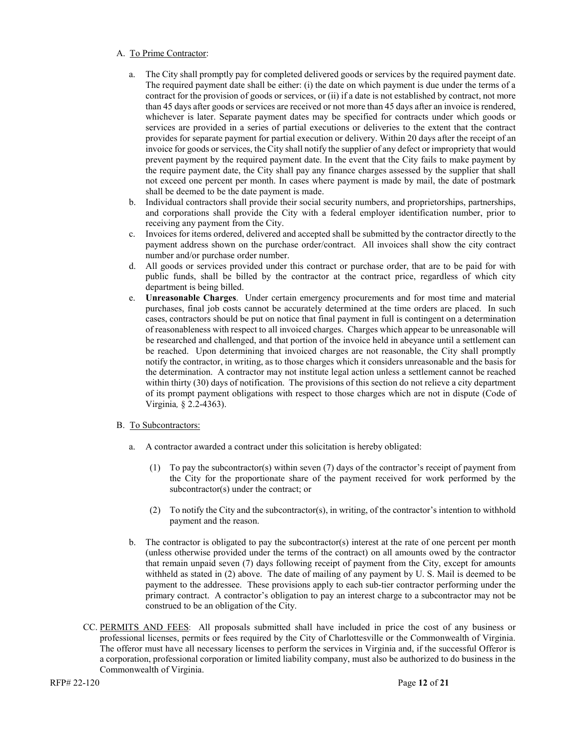#### A. To Prime Contractor:

- a. The City shall promptly pay for completed delivered goods or services by the required payment date. The required payment date shall be either: (i) the date on which payment is due under the terms of a contract for the provision of goods or services, or (ii) if a date is not established by contract, not more than 45 days after goods or services are received or not more than 45 days after an invoice is rendered, whichever is later. Separate payment dates may be specified for contracts under which goods or services are provided in a series of partial executions or deliveries to the extent that the contract provides for separate payment for partial execution or delivery. Within 20 days after the receipt of an invoice for goods or services, the City shall notify the supplier of any defect or impropriety that would prevent payment by the required payment date. In the event that the City fails to make payment by the require payment date, the City shall pay any finance charges assessed by the supplier that shall not exceed one percent per month. In cases where payment is made by mail, the date of postmark shall be deemed to be the date payment is made.
- b. Individual contractors shall provide their social security numbers, and proprietorships, partnerships, and corporations shall provide the City with a federal employer identification number, prior to receiving any payment from the City.
- c. Invoices for items ordered, delivered and accepted shall be submitted by the contractor directly to the payment address shown on the purchase order/contract. All invoices shall show the city contract number and/or purchase order number.
- d. All goods or services provided under this contract or purchase order, that are to be paid for with public funds, shall be billed by the contractor at the contract price, regardless of which city department is being billed.
- e. **Unreasonable Charges**. Under certain emergency procurements and for most time and material purchases, final job costs cannot be accurately determined at the time orders are placed. In such cases, contractors should be put on notice that final payment in full is contingent on a determination of reasonableness with respect to all invoiced charges. Charges which appear to be unreasonable will be researched and challenged, and that portion of the invoice held in abeyance until a settlement can be reached. Upon determining that invoiced charges are not reasonable, the City shall promptly notify the contractor, in writing, as to those charges which it considers unreasonable and the basis for the determination. A contractor may not institute legal action unless a settlement cannot be reached within thirty (30) days of notification. The provisions of this section do not relieve a city department of its prompt payment obligations with respect to those charges which are not in dispute (Code of Virginia*,* § 2.2-4363).

#### B. To Subcontractors:

- a. A contractor awarded a contract under this solicitation is hereby obligated:
	- (1) To pay the subcontractor(s) within seven (7) days of the contractor's receipt of payment from the City for the proportionate share of the payment received for work performed by the subcontractor(s) under the contract; or
	- (2) To notify the City and the subcontractor(s), in writing, of the contractor's intention to withhold payment and the reason.
- b. The contractor is obligated to pay the subcontractor(s) interest at the rate of one percent per month (unless otherwise provided under the terms of the contract) on all amounts owed by the contractor that remain unpaid seven (7) days following receipt of payment from the City, except for amounts withheld as stated in (2) above. The date of mailing of any payment by U. S. Mail is deemed to be payment to the addressee. These provisions apply to each sub-tier contractor performing under the primary contract. A contractor's obligation to pay an interest charge to a subcontractor may not be construed to be an obligation of the City.
- CC. PERMITS AND FEES: All proposals submitted shall have included in price the cost of any business or professional licenses, permits or fees required by the City of Charlottesville or the Commonwealth of Virginia. The offeror must have all necessary licenses to perform the services in Virginia and, if the successful Offeror is a corporation, professional corporation or limited liability company, must also be authorized to do business in the Commonwealth of Virginia.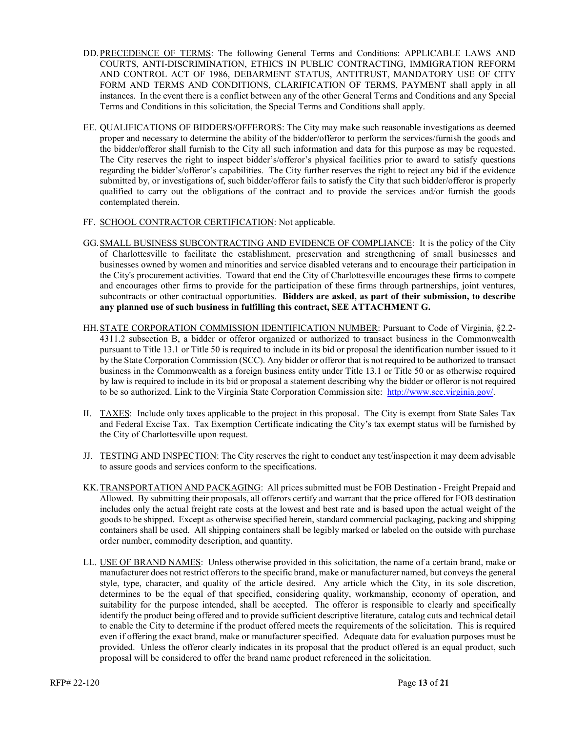- DD.PRECEDENCE OF TERMS: The following General Terms and Conditions: APPLICABLE LAWS AND COURTS, ANTI-DISCRIMINATION, ETHICS IN PUBLIC CONTRACTING, IMMIGRATION REFORM AND CONTROL ACT OF 1986, DEBARMENT STATUS, ANTITRUST, MANDATORY USE OF CITY FORM AND TERMS AND CONDITIONS, CLARIFICATION OF TERMS, PAYMENT shall apply in all instances. In the event there is a conflict between any of the other General Terms and Conditions and any Special Terms and Conditions in this solicitation, the Special Terms and Conditions shall apply.
- EE. QUALIFICATIONS OF BIDDERS/OFFERORS: The City may make such reasonable investigations as deemed proper and necessary to determine the ability of the bidder/offeror to perform the services/furnish the goods and the bidder/offeror shall furnish to the City all such information and data for this purpose as may be requested. The City reserves the right to inspect bidder's/offeror's physical facilities prior to award to satisfy questions regarding the bidder's/offeror's capabilities. The City further reserves the right to reject any bid if the evidence submitted by, or investigations of, such bidder/offeror fails to satisfy the City that such bidder/offeror is properly qualified to carry out the obligations of the contract and to provide the services and/or furnish the goods contemplated therein.
- FF. SCHOOL CONTRACTOR CERTIFICATION: Not applicable.
- GG.SMALL BUSINESS SUBCONTRACTING AND EVIDENCE OF COMPLIANCE: It is the policy of the City of Charlottesville to facilitate the establishment, preservation and strengthening of small businesses and businesses owned by women and minorities and service disabled veterans and to encourage their participation in the City's procurement activities. Toward that end the City of Charlottesville encourages these firms to compete and encourages other firms to provide for the participation of these firms through partnerships, joint ventures, subcontracts or other contractual opportunities. **Bidders are asked, as part of their submission, to describe any planned use of such business in fulfilling this contract, SEE ATTACHMENT G.**
- HH.STATE CORPORATION COMMISSION IDENTIFICATION NUMBER: Pursuant to Code of Virginia, §2.2- 4311.2 subsection B, a bidder or offeror organized or authorized to transact business in the Commonwealth pursuant to Title 13.1 or Title 50 is required to include in its bid or proposal the identification number issued to it by the State Corporation Commission (SCC). Any bidder or offeror that is not required to be authorized to transact business in the Commonwealth as a foreign business entity under Title 13.1 or Title 50 or as otherwise required by law is required to include in its bid or proposal a statement describing why the bidder or offeror is not required to be so authorized. Link to the Virginia State Corporation Commission site: [http://www.scc.virginia.gov/.](http://www.scc.virginia.gov/)
- II. TAXES: Include only taxes applicable to the project in this proposal. The City is exempt from State Sales Tax and Federal Excise Tax. Tax Exemption Certificate indicating the City's tax exempt status will be furnished by the City of Charlottesville upon request.
- JJ. TESTING AND INSPECTION: The City reserves the right to conduct any test/inspection it may deem advisable to assure goods and services conform to the specifications.
- KK.TRANSPORTATION AND PACKAGING: All prices submitted must be FOB Destination Freight Prepaid and Allowed. By submitting their proposals, all offerors certify and warrant that the price offered for FOB destination includes only the actual freight rate costs at the lowest and best rate and is based upon the actual weight of the goods to be shipped. Except as otherwise specified herein, standard commercial packaging, packing and shipping containers shall be used. All shipping containers shall be legibly marked or labeled on the outside with purchase order number, commodity description, and quantity.
- LL. USE OF BRAND NAMES: Unless otherwise provided in this solicitation, the name of a certain brand, make or manufacturer does not restrict offerors to the specific brand, make or manufacturer named, but conveys the general style, type, character, and quality of the article desired. Any article which the City, in its sole discretion, determines to be the equal of that specified, considering quality, workmanship, economy of operation, and suitability for the purpose intended, shall be accepted. The offeror is responsible to clearly and specifically identify the product being offered and to provide sufficient descriptive literature, catalog cuts and technical detail to enable the City to determine if the product offered meets the requirements of the solicitation. This is required even if offering the exact brand, make or manufacturer specified. Adequate data for evaluation purposes must be provided. Unless the offeror clearly indicates in its proposal that the product offered is an equal product, such proposal will be considered to offer the brand name product referenced in the solicitation.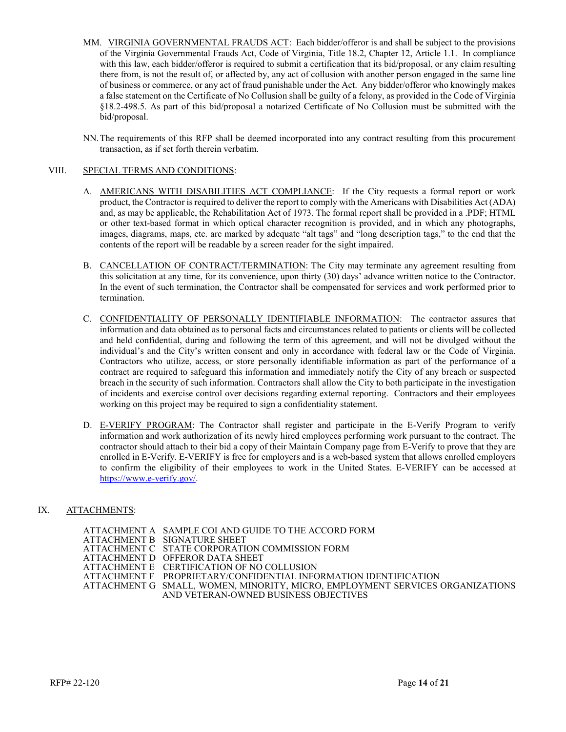- MM. VIRGINIA GOVERNMENTAL FRAUDS ACT: Each bidder/offeror is and shall be subject to the provisions of the Virginia Governmental Frauds Act, Code of Virginia, Title 18.2, Chapter 12, Article 1.1. In compliance with this law, each bidder/offeror is required to submit a certification that its bid/proposal, or any claim resulting there from, is not the result of, or affected by, any act of collusion with another person engaged in the same line of business or commerce, or any act of fraud punishable under the Act. Any bidder/offeror who knowingly makes a false statement on the Certificate of No Collusion shall be guilty of a felony, as provided in the Code of Virginia §18.2-498.5. As part of this bid/proposal a notarized Certificate of No Collusion must be submitted with the bid/proposal.
- NN.The requirements of this RFP shall be deemed incorporated into any contract resulting from this procurement transaction, as if set forth therein verbatim.

#### VIII. SPECIAL TERMS AND CONDITIONS:

- A. AMERICANS WITH DISABILITIES ACT COMPLIANCE: If the City requests a formal report or work product, the Contractor is required to deliver the report to comply with the Americans with Disabilities Act (ADA) and, as may be applicable, the Rehabilitation Act of 1973. The formal report shall be provided in a .PDF; HTML or other text-based format in which optical character recognition is provided, and in which any photographs, images, diagrams, maps, etc. are marked by adequate "alt tags" and "long description tags," to the end that the contents of the report will be readable by a screen reader for the sight impaired.
- B. CANCELLATION OF CONTRACT/TERMINATION: The City may terminate any agreement resulting from this solicitation at any time, for its convenience, upon thirty (30) days' advance written notice to the Contractor. In the event of such termination, the Contractor shall be compensated for services and work performed prior to termination.
- C. CONFIDENTIALITY OF PERSONALLY IDENTIFIABLE INFORMATION: The contractor assures that information and data obtained as to personal facts and circumstances related to patients or clients will be collected and held confidential, during and following the term of this agreement, and will not be divulged without the individual's and the City's written consent and only in accordance with federal law or the Code of Virginia. Contractors who utilize, access, or store personally identifiable information as part of the performance of a contract are required to safeguard this information and immediately notify the City of any breach or suspected breach in the security of such information. Contractors shall allow the City to both participate in the investigation of incidents and exercise control over decisions regarding external reporting. Contractors and their employees working on this project may be required to sign a confidentiality statement.
- D. E-VERIFY PROGRAM: The Contractor shall register and participate in the E-Verify Program to verify information and work authorization of its newly hired employees performing work pursuant to the contract. The contractor should attach to their bid a copy of their Maintain Company page from E-Verify to prove that they are enrolled in E-Verify. E-VERIFY is free for employers and is a web-based system that allows enrolled employers to confirm the eligibility of their employees to work in the United States. E-VERIFY can be accessed at [https://www.e-verify.gov/.](https://www.e-verify.gov/)

#### IX. ATTACHMENTS:

ATTACHMENT A SAMPLE COI AND GUIDE TO THE ACCORD FORM ATTACHMENT B SIGNATURE SHEET ATTACHMENT C STATE CORPORATION COMMISSION FORM ATTACHMENT D OFFEROR DATA SHEET ATTACHMENT E CERTIFICATION OF NO COLLUSION ATTACHMENT F PROPRIETARY/CONFIDENTIAL INFORMATION IDENTIFICATION ATTACHMENT G SMALL, WOMEN, MINORITY, MICRO, EMPLOYMENT SERVICES ORGANIZATIONS AND VETERAN-OWNED BUSINESS OBJECTIVES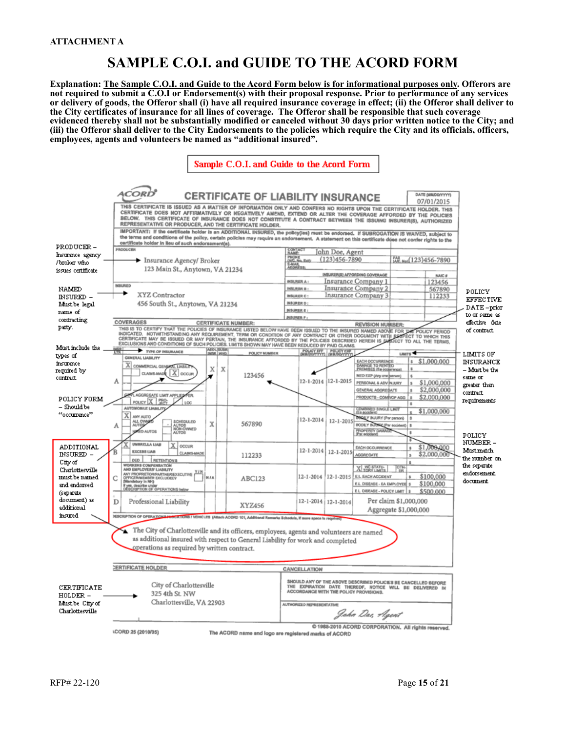## **SAMPLE C.O.I. and GUIDE TO THE ACORD FORM**

**Explanation: The Sample C.O.I. and Guide to the Acord Form below is for informational purposes only. Offerors are not required to submit a C.O.I or Endorsement(s) with their proposal response. Prior to performance of any services or delivery of goods, the Offeror shall (i) have all required insurance coverage in effect; (ii) the Offeror shall deliver to the City certificates of insurance for all lines of coverage. The Offeror shall be responsible that such coverage evidenced thereby shall not be substantially modified or canceled without 30 days prior written notice to the City; and (iii) the Offeror shall deliver to the City Endorsements to the policies which require the City and its officials, officers, employees, agents and volunteers be named as "additional insured".** 

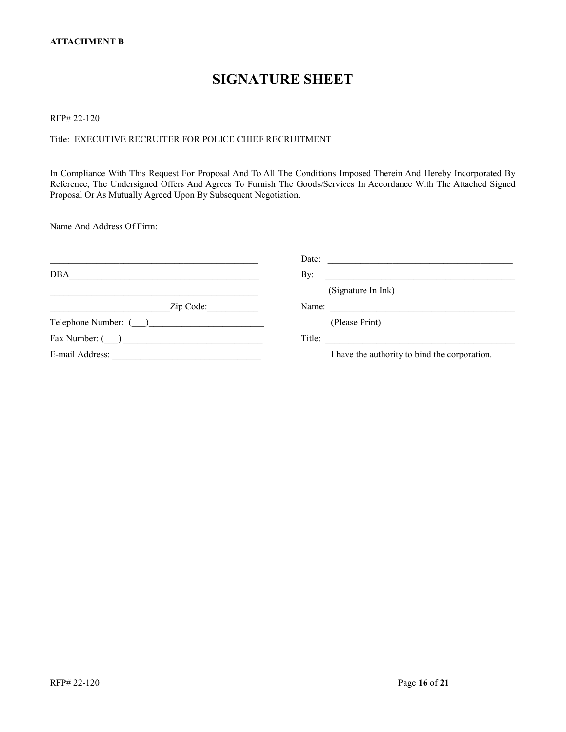### **SIGNATURE SHEET**

#### RFP# 22-120

#### Title: EXECUTIVE RECRUITER FOR POLICE CHIEF RECRUITMENT

In Compliance With This Request For Proposal And To All The Conditions Imposed Therein And Hereby Incorporated By Reference, The Undersigned Offers And Agrees To Furnish The Goods/Services In Accordance With The Attached Signed Proposal Or As Mutually Agreed Upon By Subsequent Negotiation.

Name And Address Of Firm:

|                      | Date:<br><u> 1989 - Johann Stoff, deutscher Stoff, der Stoff, der Stoff, der Stoff, der Stoff, der Stoff, der Stoff, der S</u> |
|----------------------|--------------------------------------------------------------------------------------------------------------------------------|
| DBA                  | By:                                                                                                                            |
|                      | (Signature In Ink)                                                                                                             |
| Zip Code:            | Name: $\frac{1}{\sqrt{1-\frac{1}{2}} \cdot \frac{1}{2}}$                                                                       |
| Telephone Number: () | (Please Print)                                                                                                                 |
| Fax Number: ( )      | Title: $\qquad \qquad$                                                                                                         |
|                      | I have the authority to bind the corporation.                                                                                  |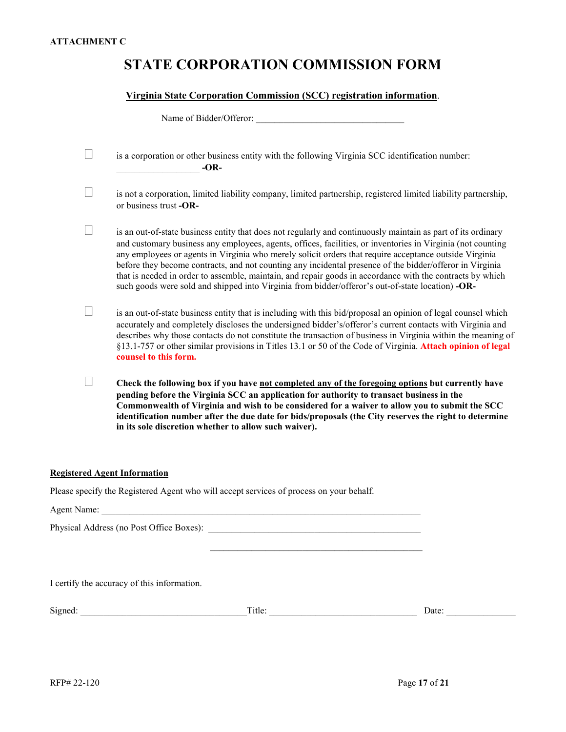# **STATE CORPORATION COMMISSION FORM**

#### **Virginia State Corporation Commission (SCC) registration information**.

Name of Bidder/Offeror:

**�** is a corporation or other business entity with the following Virginia SCC identification number: \_\_\_\_\_\_\_\_\_\_\_\_\_\_\_\_\_\_ **-OR-**

**�** is not a corporation, limited liability company, limited partnership, registered limited liability partnership, or business trust **-OR-**

**�** is an out-of-state business entity that does not regularly and continuously maintain as part of its ordinary and customary business any employees, agents, offices, facilities, or inventories in Virginia (not counting any employees or agents in Virginia who merely solicit orders that require acceptance outside Virginia before they become contracts, and not counting any incidental presence of the bidder/offeror in Virginia that is needed in order to assemble, maintain, and repair goods in accordance with the contracts by which such goods were sold and shipped into Virginia from bidder/offeror's out-of-state location) **-OR-**

**�** is an out-of-state business entity that is including with this bid/proposal an opinion of legal counsel which accurately and completely discloses the undersigned bidder's/offeror's current contacts with Virginia and describes why those contacts do not constitute the transaction of business in Virginia within the meaning of §13.1-757 or other similar provisions in Titles 13.1 or 50 of the Code of Virginia. **Attach opinion of legal counsel to this form.**

**� Check the following box if you have not completed any of the foregoing options but currently have pending before the Virginia SCC an application for authority to transact business in the Commonwealth of Virginia and wish to be considered for a waiver to allow you to submit the SCC identification number after the due date for bids/proposals (the City reserves the right to determine in its sole discretion whether to allow such waiver).**

 $\overline{\phantom{a}}$  ,  $\overline{\phantom{a}}$  ,  $\overline{\phantom{a}}$  ,  $\overline{\phantom{a}}$  ,  $\overline{\phantom{a}}$  ,  $\overline{\phantom{a}}$  ,  $\overline{\phantom{a}}$  ,  $\overline{\phantom{a}}$  ,  $\overline{\phantom{a}}$  ,  $\overline{\phantom{a}}$  ,  $\overline{\phantom{a}}$  ,  $\overline{\phantom{a}}$  ,  $\overline{\phantom{a}}$  ,  $\overline{\phantom{a}}$  ,  $\overline{\phantom{a}}$  ,  $\overline{\phantom{a}}$ 

#### **Registered Agent Information**

Please specify the Registered Agent who will accept services of process on your behalf.

Agent Name:  $\Box$ 

Physical Address (no Post Office Boxes):

I certify the accuracy of this information.

| $\sim$<br>טור |  | <br>uw |
|---------------|--|--------|
|               |  |        |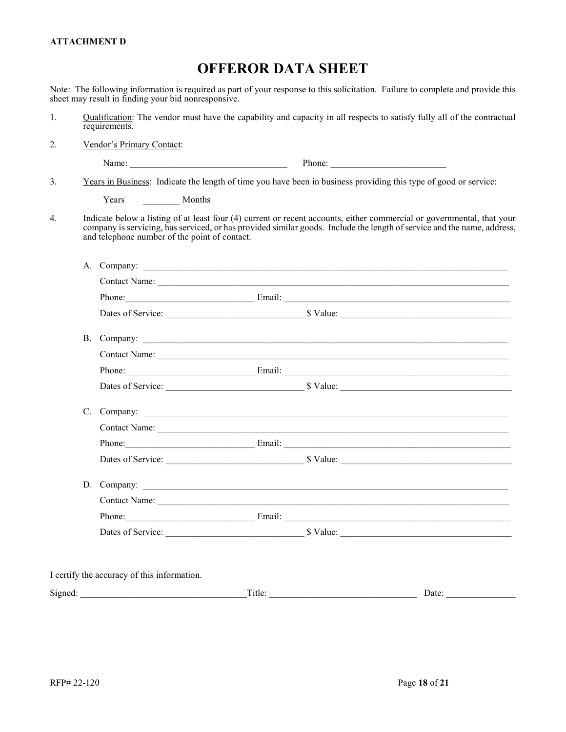#### **ATTACHMENT D**

### **OFFEROR DATA SHEET**

Note: The following information is required as part of your response to this solicitation. Failure to complete and provide this sheet may result in finding your bid nonresponsive.

- 1. Qualification: The vendor must have the capability and capacity in all respects to satisfy fully all of the contractual requirements.
- 2. Vendor's Primary Contact:

Name: The Phone: The Phone:  $\Box$  Phone:  $\Box$ 

3. Years in Business: Indicate the length of time you have been in business providing this type of good or service:

Years Months

4. Indicate below a listing of at least four (4) current or recent accounts, either commercial or governmental, that your company is servicing, has serviced, or has provided similar goods. Include the length of service and the name, address, and telephone number of the point of contact.

|                                             |                               | Phone: Email: Email: Email: Email: Email: Email: Email: Email: Email: Email: Email: Email: Email: Email: Email: Email: Email: Email: Email: Email: Email: Email: Email: Email: Email: Email: Email: Email: Email: Email: Email |
|---------------------------------------------|-------------------------------|--------------------------------------------------------------------------------------------------------------------------------------------------------------------------------------------------------------------------------|
|                                             |                               |                                                                                                                                                                                                                                |
| B. Company:                                 |                               |                                                                                                                                                                                                                                |
|                                             |                               |                                                                                                                                                                                                                                |
|                                             |                               | Phone: Email: Email: Email: Email: Email: Email: Email: Email: Email: Email: Email: Email: Email: Email: Email: Email: Email: Email: Email: Email: Email: Email: Email: Email: Email: Email: Email: Email: Email: Email: Email |
|                                             |                               |                                                                                                                                                                                                                                |
|                                             |                               |                                                                                                                                                                                                                                |
|                                             |                               |                                                                                                                                                                                                                                |
|                                             |                               | Phone: Email: Email: Email: Email: Email: Email: Email: Email: Email: Email: Email: Email: Email: Email: Email: Email: Email: Email: Email: Email: Email: Email: Email: Email: Email: Email: Email: Email: Email: Email: Email |
|                                             |                               |                                                                                                                                                                                                                                |
|                                             |                               |                                                                                                                                                                                                                                |
|                                             |                               |                                                                                                                                                                                                                                |
|                                             |                               | Phone: Email: Email: Email: Email: Email: Email: Email: Email: Email: Email: Email: Email: Email: Email: Email: Email: Email: Email: Email: Email: Email: Email: Email: Email: Email: Email: Email: Email: Email: Email: Email |
|                                             |                               |                                                                                                                                                                                                                                |
|                                             |                               |                                                                                                                                                                                                                                |
| I certify the accuracy of this information. |                               |                                                                                                                                                                                                                                |
|                                             | Title: $\qquad \qquad$ Title: |                                                                                                                                                                                                                                |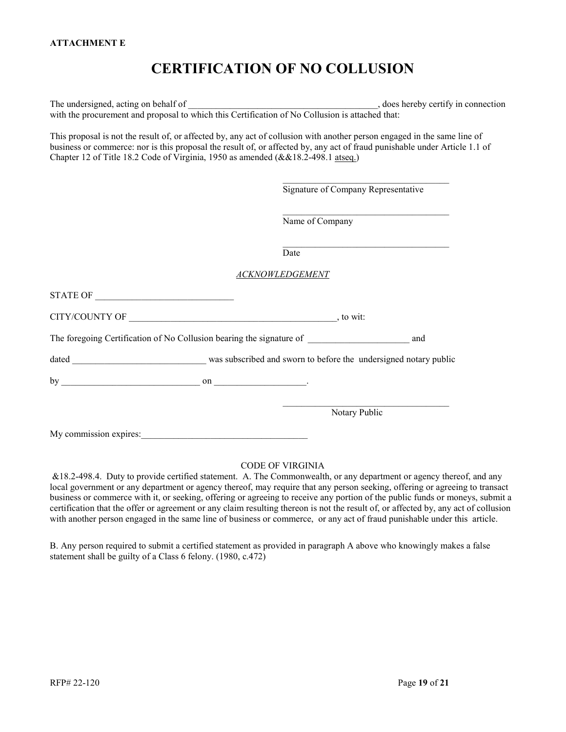# **CERTIFICATION OF NO COLLUSION**

The undersigned, acting on behalf of  $\blacksquare$ with the procurement and proposal to which this Certification of No Collusion is attached that:

This proposal is not the result of, or affected by, any act of collusion with another person engaged in the same line of business or commerce: nor is this proposal the result of, or affected by, any act of fraud punishable under Article 1.1 of Chapter 12 of Title 18.2 Code of Virginia, 1950 as amended (&&18.2-498.1 atseq.)

 $\_$  . The set of the set of the set of the set of the set of the set of the set of the set of the set of the set of the set of the set of the set of the set of the set of the set of the set of the set of the set of the se

|                                                                      | Signature of Company Representative |     |
|----------------------------------------------------------------------|-------------------------------------|-----|
|                                                                      | Name of Company                     |     |
|                                                                      | Date                                |     |
|                                                                      | <b>ACKNOWLEDGEMENT</b>              |     |
|                                                                      |                                     |     |
|                                                                      |                                     |     |
| The foregoing Certification of No Collusion bearing the signature of |                                     | and |
|                                                                      |                                     |     |
|                                                                      |                                     |     |
|                                                                      | Notary Public                       |     |
| My commission expires:                                               |                                     |     |

#### CODE OF VIRGINIA

&18.2-498.4. Duty to provide certified statement. A. The Commonwealth, or any department or agency thereof, and any local government or any department or agency thereof, may require that any person seeking, offering or agreeing to transact business or commerce with it, or seeking, offering or agreeing to receive any portion of the public funds or moneys, submit a certification that the offer or agreement or any claim resulting thereon is not the result of, or affected by, any act of collusion with another person engaged in the same line of business or commerce, or any act of fraud punishable under this article.

B. Any person required to submit a certified statement as provided in paragraph A above who knowingly makes a false statement shall be guilty of a Class 6 felony. (1980, c.472)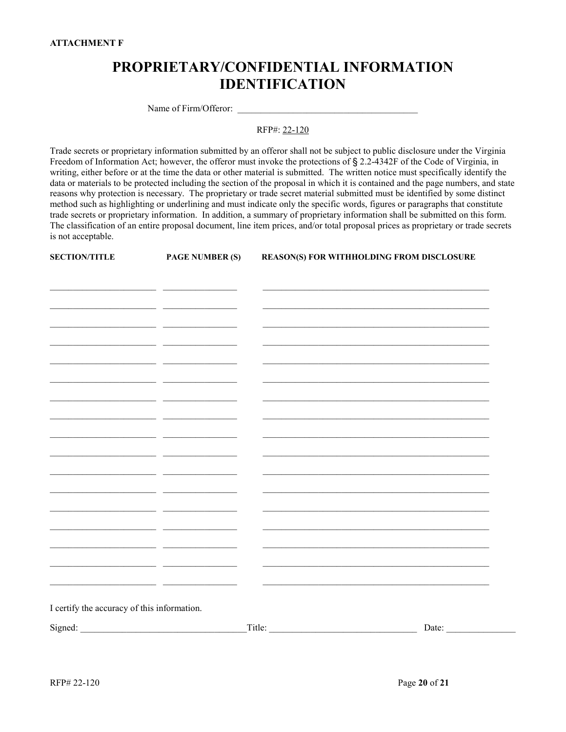# **PROPRIETARY/CONFIDENTIAL INFORMATION IDENTIFICATION**

Name of Firm/Offeror:

RFP#: 22-120

Trade secrets or proprietary information submitted by an offeror shall not be subject to public disclosure under the Virginia Freedom of Information Act; however, the offeror must invoke the protections of § 2.2-4342F of the Code of Virginia, in writing, either before or at the time the data or other material is submitted. The written notice must specifically identify the data or materials to be protected including the section of the proposal in which it is contained and the page numbers, and state reasons why protection is necessary. The proprietary or trade secret material submitted must be identified by some distinct method such as highlighting or underlining and must indicate only the specific words, figures or paragraphs that constitute trade secrets or proprietary information. In addition, a summary of proprietary information shall be submitted on this form. The classification of an entire proposal document, line item prices, and/or total proposal prices as proprietary or trade secrets is not acceptable.

**SECTION/TITLE PAGE NUMBER (S) REASON(S) FOR WITHHOLDING FROM DISCLOSURE**

|                                                                                                                                                                                                                                      | Signed: | $\Gamma$ itle: | Date: |
|--------------------------------------------------------------------------------------------------------------------------------------------------------------------------------------------------------------------------------------|---------|----------------|-------|
| I certify the accuracy of this information.                                                                                                                                                                                          |         |                |       |
|                                                                                                                                                                                                                                      |         |                |       |
|                                                                                                                                                                                                                                      | - -     |                |       |
|                                                                                                                                                                                                                                      | ___     |                |       |
| <u> 1989 - Johann Stein, fransk politik (</u>                                                                                                                                                                                        | - -     |                |       |
| <u> 1989 - Johann John Harry John Harry John Harry John Harry John Harry John Harry John Harry John Harry John Harry John Harry John Harry John Harry John Harry John Harry John Harry John Harry John Harry John Harry John Har</u> |         |                |       |
|                                                                                                                                                                                                                                      |         |                |       |
|                                                                                                                                                                                                                                      |         |                |       |
|                                                                                                                                                                                                                                      |         |                |       |
|                                                                                                                                                                                                                                      |         |                |       |
|                                                                                                                                                                                                                                      |         |                |       |
|                                                                                                                                                                                                                                      | — —     |                |       |
|                                                                                                                                                                                                                                      |         |                |       |
|                                                                                                                                                                                                                                      | _ _     |                |       |
|                                                                                                                                                                                                                                      |         |                |       |
|                                                                                                                                                                                                                                      |         |                |       |
|                                                                                                                                                                                                                                      |         |                |       |